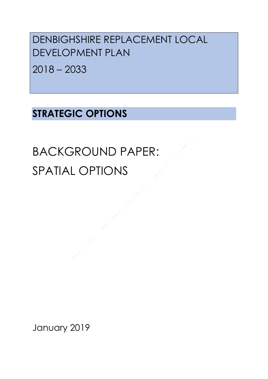DENBIGHSHIRE REPLACEMENT LOCAL DEVELOPMENT PLAN

2018 – 2033

# **STRATEGIC OPTIONS**

BACKGROUND PAPER: SPATIAL OPTIONS

January 2019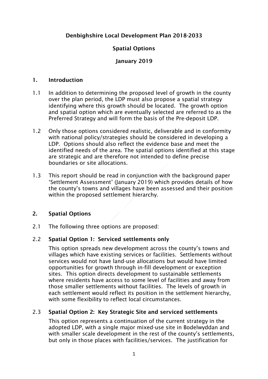# Denbighshire Local Development Plan 2018-2033

# Spatial Options

# January 2019

#### 1. Introduction

- 1.1 In addition to determining the proposed level of growth in the county over the plan period, the LDP must also propose a spatial strategy identifying where this growth should be located. The growth option and spatial option which are eventually selected are referred to as the Preferred Strategy and will form the basis of the Pre-deposit LDP.
- 1.2 Only those options considered realistic, deliverable and in conformity with national policy/strategies should be considered in developing a LDP. Options should also reflect the evidence base and meet the identified needs of the area. The spatial options identified at this stage are strategic and are therefore not intended to define precise boundaries or site allocations.
- 1.3 This report should be read in conjunction with the background paper 'Settlement Assessment' (January 2019) which provides details of how the county's towns and villages have been assessed and their position within the proposed settlement hierarchy.

## 2. Spatial Options

2.1 The following three options are proposed:

## 2.2 Spatial Option 1: Serviced settlements only

This option spreads new development across the county's towns and villages which have existing services or facilities. Settlements without services would not have land-use allocations but would have limited opportunities for growth through in-fill development or exception sites. This option directs development to sustainable settlements where residents have access to some level of facilities and away from those smaller settlements without facilities. The levels of growth in each settlement would reflect its position in the settlement hierarchy, with some flexibility to reflect local circumstances.

## 2.3 Spatial Option 2: Key Strategic Site and serviced settlements

This option represents a continuation of the current strategy in the adopted LDP, with a single major mixed-use site in Bodelwyddan and with smaller scale development in the rest of the county's settlements, but only in those places with facilities/services. The justification for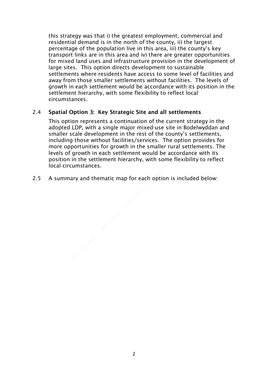this strategy was that i) the greatest employment, commercial and residential demand is in the north of the county, ii) the largest percentage of the population live in this area, iii) the county's key transport links are in this area and iv) there are greater opportunities for mixed land uses and infrastructure provision in the development of large sites. This option directs development to sustainable settlements where residents have access to some level of facilities and away from those smaller settlements without facilities. The levels of growth in each settlement would be accordance with its position in the settlement hierarchy, with some flexibility to reflect local circumstances.

#### 2.4 Spatial Option 3: Key Strategic Site and all settlements

This option represents a continuation of the current strategy in the adopted LDP, with a single major mixed-use site in Bodelwyddan and smaller scale development in the rest of the county's settlements, including those without facilities/services. The option provides for more opportunities for growth in the smaller rural settlements. The levels of growth in each settlement would be accordance with its position in the settlement hierarchy, with some flexibility to reflect local circumstances.

2.5 A summary and thematic map for each option is included below: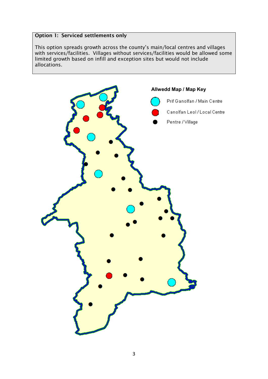## Option 1: Serviced settlements only

This option spreads growth across the county's main/local centres and villages with services/facilities. Villages without services/facilities would be allowed some limited growth based on infill and exception sites but would not include allocations.

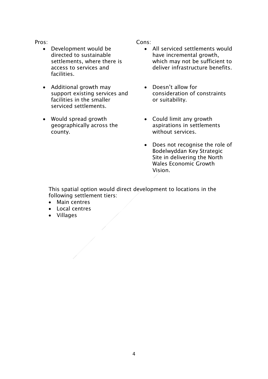Pros:

- Development would be directed to sustainable settlements, where there is access to services and facilities.
- Additional growth may support existing services and facilities in the smaller serviced settlements.
- Would spread growth geographically across the county.

Cons:

- All serviced settlements would have incremental growth, which may not be sufficient to deliver infrastructure benefits.
- Doesn't allow for consideration of constraints or suitability.
- Could limit any growth aspirations in settlements without services.
- Does not recognise the role of Bodelwyddan Key Strategic Site in delivering the North Wales Economic Growth Vision.

This spatial option would direct development to locations in the following settlement tiers:

- Main centres
- Local centres
- Villages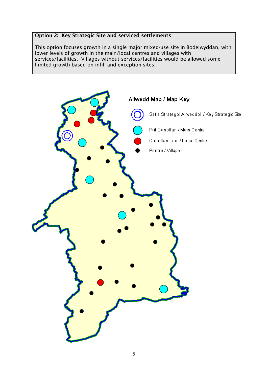#### Option 2: Key Strategic Site and serviced settlements

This option focuses growth in a single major mixed-use site in Bodelwyddan, with lower levels of growth in the main/local centres and villages with services/facilities. Villages without services/facilities would be allowed some limited growth based on infill and exception sites.

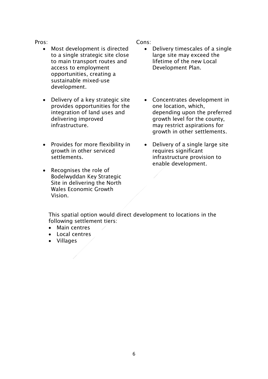Pros:

- Most development is directed to a single strategic site close to main transport routes and access to employment opportunities, creating a sustainable mixed-use development.
- Delivery of a key strategic site provides opportunities for the integration of land uses and delivering improved infrastructure.
- Provides for more flexibility in growth in other serviced settlements.
- Recognises the role of Bodelwyddan Key Strategic Site in delivering the North Wales Economic Growth Vision.

Cons:

- Delivery timescales of a single large site may exceed the lifetime of the new Local Development Plan.
- Concentrates development in one location, which, depending upon the preferred growth level for the county, may restrict aspirations for growth in other settlements.
- Delivery of a single large site requires significant infrastructure provision to enable development.

This spatial option would direct development to locations in the following settlement tiers:

- Main centres
- Local centres
- Villages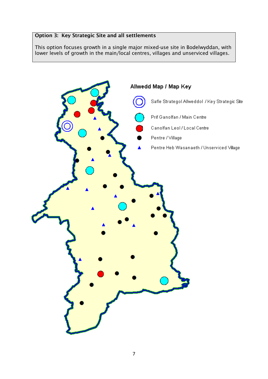## Option 3: Key Strategic Site and all settlements

This option focuses growth in a single major mixed-use site in Bodelwyddan, with lower levels of growth in the main/local centres, villages and unserviced villages.